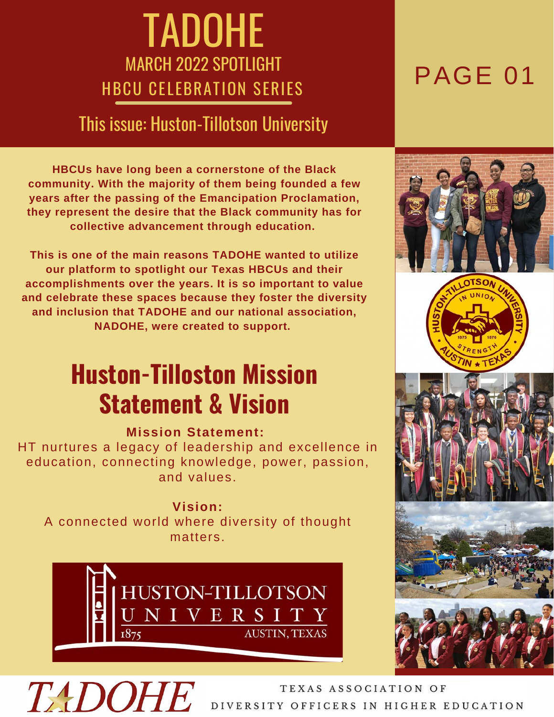## TADOHE MARCH 2022 SPOTLIGHT **HBCU CELEBRATION SERIES PAGE 01**

## This issue: Huston-Tillotson University

**HBCUs have long been a cornerstone of the Black community. With the majority of them being founded a few years after the passing of the Emancipation Proclamation, they represent the desire that the Black community has for collective advancement through education.**

**This is one of the main reasons TADOHE wanted to utilize our platform to spotlight our Texas HBCUs and their accomplishments over the years. It is so important to value and celebrate these spaces because they foster the diversity and inclusion that TADOHE and our national association, NADOHE, were created to support.**

## **Huston-Tilloston Mission Statement & Vision**

### **Mission Statement:**

HT nurtures a legacy of leadership and excellence in education, connecting knowledge, power, passion, and values.

**Vision:** A connected world where diversity of thought matters.













# **TADOHE**

TEXAS ASSOCIATION OF DIVERSITY OFFICERS IN HIGHER EDUCATION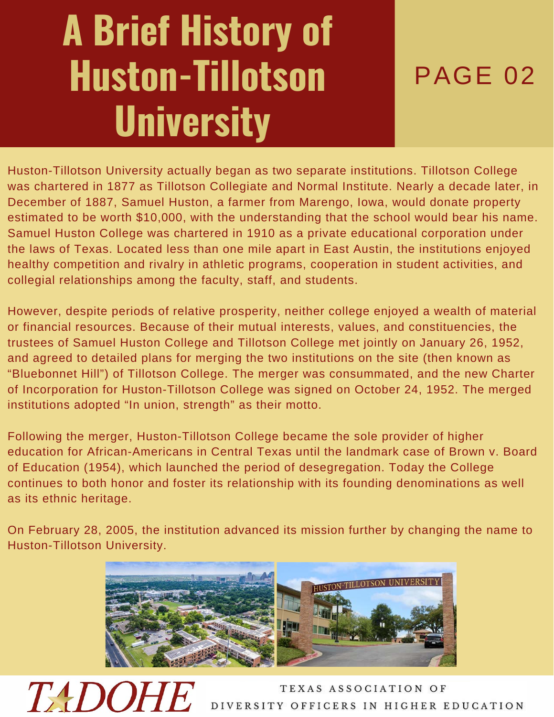# **A Brief History of Huston-Tillotson University**

## PAGE 02

Huston-Tillotson University actually began as two separate institutions. Tillotson College was chartered in 1877 as Tillotson Collegiate and Normal Institute. Nearly a decade later, in December of 1887, Samuel Huston, a farmer from Marengo, Iowa, would donate property estimated to be worth \$10,000, with the understanding that the school would bear his name. Samuel Huston College was chartered in 1910 as a private educational corporation under the laws of Texas. Located less than one mile apart in East Austin, the institutions enjoyed healthy competition and rivalry in athletic programs, cooperation in student activities, and collegial relationships among the faculty, staff, and students.

However, despite periods of relative prosperity, neither college enjoyed a wealth of material or financial resources. Because of their mutual interests, values, and constituencies, the trustees of Samuel Huston College and Tillotson College met jointly on January 26, 1952, and agreed to detailed plans for merging the two institutions on the site (then known as "Bluebonnet Hill") of Tillotson College. The merger was consummated, and the new Charter of Incorporation for Huston-Tillotson College was signed on October 24, 1952. The merged institutions adopted "In union, strength" as their motto.

Following the merger, Huston-Tillotson College became the sole provider of higher education for African-Americans in Central Texas until the landmark case of Brown v. Board of Education (1954), which launched the period of desegregation. Today the College continues to both honor and foster its relationship with its founding denominations as well as its ethnic heritage.

On February 28, 2005, the institution advanced its mission further by changing the name to Huston-Tillotson University.



*TADOR* 

TEXAS ASSOCIATION OF SITY OFFICERS IN HIGHER EDUCATION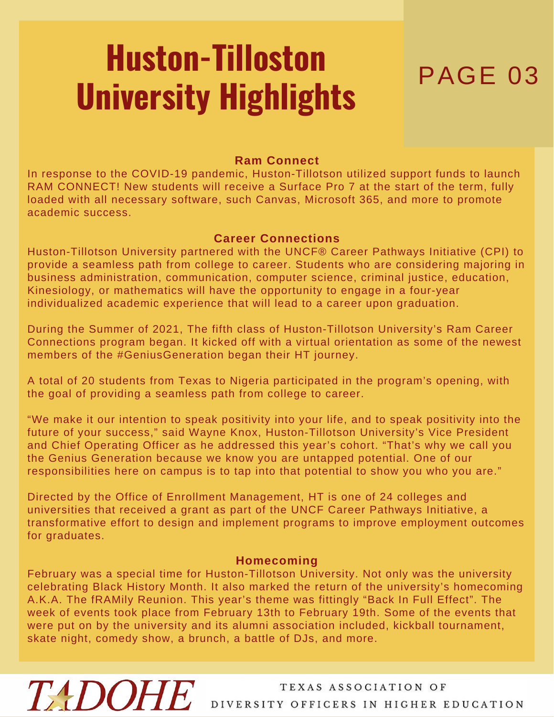# PAGE 03 **Huston-Tilloston University Highlights**

### **Ram Connect**

In response to the COVID-19 pandemic, Huston-Tillotson utilized support funds to launch RAM CONNECT! New students will receive a Surface Pro 7 at the start of the term, fully loaded with all necessary software, such Canvas, Microsoft 365, and more to promote academic success.

### **Career Connections**

Huston-Tillotson University partnered with the UNCF® Career Pathways Initiative (CPI) to provide a seamless path from college to career. Students who are considering majoring in business administration, communication, computer science, criminal justice, education, Kinesiology, or mathematics will have the opportunity to engage in a four-year individualized academic experience that will lead to a career upon graduation.

During the Summer of 2021, The fifth class of Huston-Tillotson University's Ram Career Connections program began. It kicked off with a virtual orientation as some of the newest members of the #GeniusGeneration began their HT journey.

A total of 20 students from Texas to Nigeria participated in the program's opening, with the goal of providing a seamless path from college to career.

"We make it our intention to speak positivity into your life, and to speak positivity into the future of your success," said Wayne Knox, Huston-Tillotson University's Vice President and Chief Operating Officer as he addressed this year's cohort. "That's why we call you the Genius Generation because we know you are untapped potential. One of our responsibilities here on campus is to tap into that potential to show you who you are."

Directed by the Office of Enrollment Management, HT is one of 24 colleges and universities that received a grant as part of the UNCF Career Pathways Initiative, a transformative effort to design and implement programs to improve employment outcomes for graduates.

### **Homecoming**

February was a special time for Huston-Tillotson University. Not only was the university celebrating Black History Month. It also marked the return of the university's homecoming A.K.A. The fRAMily Reunion. This year's theme was fittingly "Back In Full Effect". The week of events took place from February 13th to February 19th. Some of the events that were put on by the university and its alumni association included, kickball tournament, skate night, comedy show, a brunch, a battle of DJs, and more.

**TADOHE** 

### TEXAS ASSOCIATION OF DIVERSITY OFFICERS IN HIGHER EDUCATION